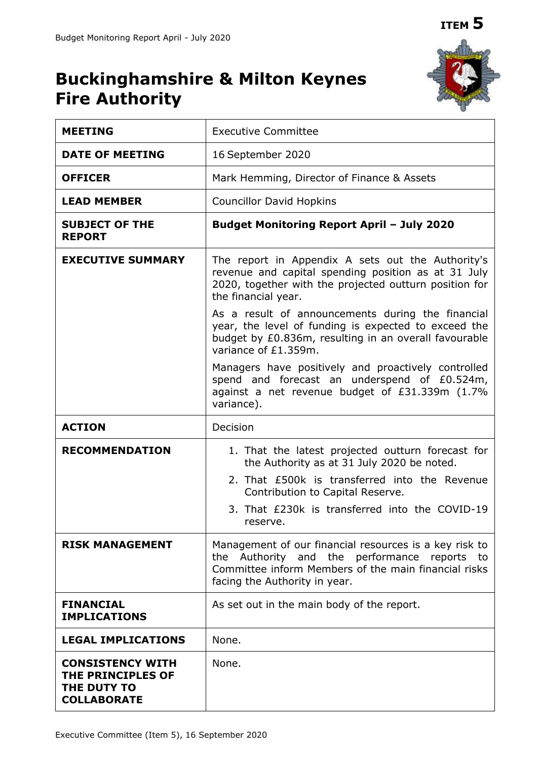# **ITEM 5**



# **Buckinghamshire & Milton Keynes Fire Authority**

| <b>MEETING</b>                                                                    | <b>Executive Committee</b>                                                                                                                                                                      |
|-----------------------------------------------------------------------------------|-------------------------------------------------------------------------------------------------------------------------------------------------------------------------------------------------|
| <b>DATE OF MEETING</b>                                                            | 16 September 2020                                                                                                                                                                               |
| <b>OFFICER</b>                                                                    | Mark Hemming, Director of Finance & Assets                                                                                                                                                      |
| <b>LEAD MEMBER</b>                                                                | <b>Councillor David Hopkins</b>                                                                                                                                                                 |
| <b>SUBJECT OF THE</b><br><b>REPORT</b>                                            | <b>Budget Monitoring Report April - July 2020</b>                                                                                                                                               |
| <b>EXECUTIVE SUMMARY</b>                                                          | The report in Appendix A sets out the Authority's<br>revenue and capital spending position as at 31 July<br>2020, together with the projected outturn position for<br>the financial year.       |
|                                                                                   | As a result of announcements during the financial<br>year, the level of funding is expected to exceed the<br>budget by £0.836m, resulting in an overall favourable<br>variance of £1.359m.      |
|                                                                                   | Managers have positively and proactively controlled<br>spend and forecast an underspend of £0.524m,<br>against a net revenue budget of £31.339m (1.7%<br>variance).                             |
| <b>ACTION</b>                                                                     | Decision                                                                                                                                                                                        |
| <b>RECOMMENDATION</b>                                                             | 1. That the latest projected outturn forecast for<br>the Authority as at 31 July 2020 be noted.                                                                                                 |
|                                                                                   | 2. That £500k is transferred into the Revenue<br>Contribution to Capital Reserve.                                                                                                               |
|                                                                                   | 3. That £230k is transferred into the COVID-19<br>reserve                                                                                                                                       |
| <b>RISK MANAGEMENT</b>                                                            | Management of our financial resources is a key risk to<br>the Authority and the performance reports to<br>Committee inform Members of the main financial risks<br>facing the Authority in year. |
| <b>FINANCIAL</b><br><b>IMPLICATIONS</b>                                           | As set out in the main body of the report.                                                                                                                                                      |
| <b>LEGAL IMPLICATIONS</b>                                                         | None.                                                                                                                                                                                           |
| <b>CONSISTENCY WITH</b><br>THE PRINCIPLES OF<br>THE DUTY TO<br><b>COLLABORATE</b> | None.                                                                                                                                                                                           |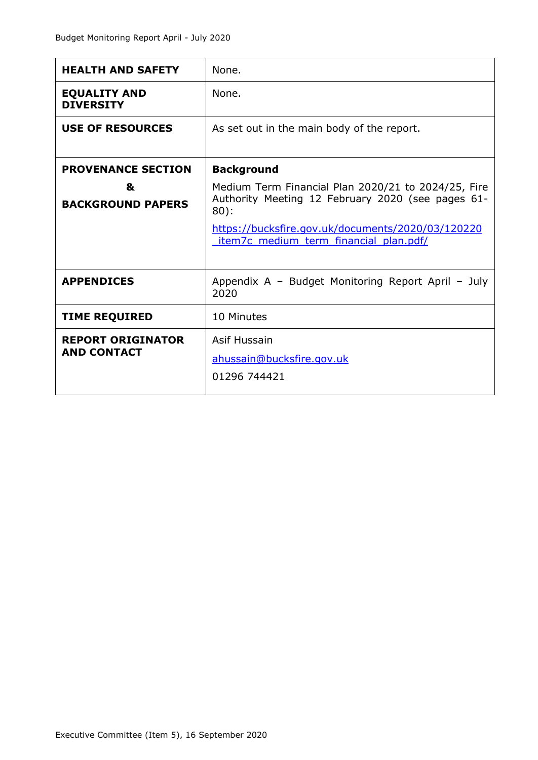| <b>HEALTH AND SAFETY</b>                                   | None.                                                                                                                                                                                                                                  |
|------------------------------------------------------------|----------------------------------------------------------------------------------------------------------------------------------------------------------------------------------------------------------------------------------------|
| <b>EQUALITY AND</b><br><b>DIVERSITY</b>                    | None.                                                                                                                                                                                                                                  |
| <b>USE OF RESOURCES</b>                                    | As set out in the main body of the report.                                                                                                                                                                                             |
| <b>PROVENANCE SECTION</b><br>&<br><b>BACKGROUND PAPERS</b> | <b>Background</b><br>Medium Term Financial Plan 2020/21 to 2024/25, Fire<br>Authority Meeting 12 February 2020 (see pages 61-<br>$80$ :<br>https://bucksfire.gov.uk/documents/2020/03/120220<br>item7c medium term financial plan.pdf/ |
|                                                            |                                                                                                                                                                                                                                        |
| <b>APPENDICES</b>                                          | Appendix A - Budget Monitoring Report April - July<br>2020                                                                                                                                                                             |
| <b>TIME REQUIRED</b>                                       | 10 Minutes                                                                                                                                                                                                                             |
| <b>REPORT ORIGINATOR</b><br><b>AND CONTACT</b>             | Asif Hussain<br>ahussain@bucksfire.gov.uk<br>01296 744421                                                                                                                                                                              |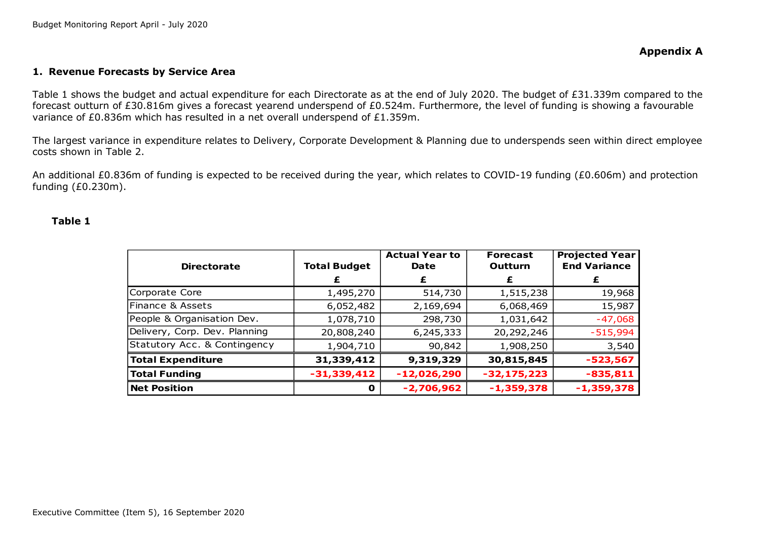#### **1. Revenue Forecasts by Service Area**

Table 1 shows the budget and actual expenditure for each Directorate as at the end of July 2020. The budget of £31.339m compared to the forecast outturn of £30.816m gives a forecast yearend underspend of £0.524m. Furthermore, the level of funding is showing a favourable variance of £0.836m which has resulted in a net overall underspend of £1.359m.

The largest variance in expenditure relates to Delivery, Corporate Development & Planning due to underspends seen within direct employee costs shown in Table 2.

An additional £0.836m of funding is expected to be received during the year, which relates to COVID-19 funding (£0.606m) and protection funding (£0.230m).

#### **Table 1**

| <b>Directorate</b>            | <b>Total Budget</b> | <b>Actual Year to</b><br>Date | <b>Forecast</b><br><b>Outturn</b> | <b>Projected Year</b><br><b>End Variance</b> |
|-------------------------------|---------------------|-------------------------------|-----------------------------------|----------------------------------------------|
|                               |                     |                               |                                   |                                              |
| Corporate Core                | 1,495,270           | 514,730                       | 1,515,238                         | 19,968                                       |
| Finance & Assets              | 6,052,482           | 2,169,694                     | 6,068,469                         | 15,987                                       |
| People & Organisation Dev.    | 1,078,710           | 298,730                       | 1,031,642                         | $-47,068$                                    |
| Delivery, Corp. Dev. Planning | 20,808,240          | 6,245,333                     | 20,292,246                        | $-515,994$                                   |
| Statutory Acc. & Contingency  | 1,904,710           | 90,842                        | 1,908,250                         | 3,540                                        |
| <b>Total Expenditure</b>      | 31,339,412          | 9,319,329                     | 30,815,845                        | $-523,567$                                   |
| <b>Total Funding</b>          | $-31,339,412$       | $-12,026,290$                 | $-32,175,223$                     | $-835,811$                                   |
| <b>Net Position</b>           | o                   | $-2,706,962$                  | $-1,359,378$                      | $-1,359,378$                                 |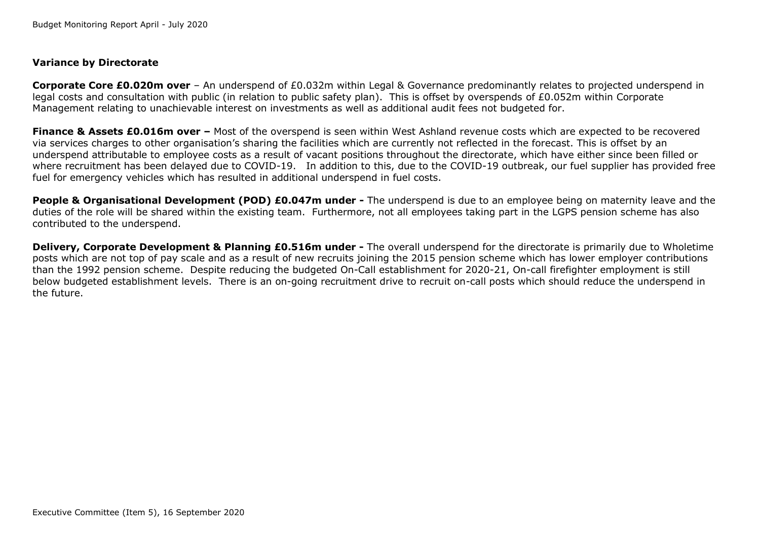# **Variance by Directorate**

**Corporate Core £0.020m over** – An underspend of £0.032m within Legal & Governance predominantly relates to projected underspend in legal costs and consultation with public (in relation to public safety plan). This is offset by overspends of £0.052m within Corporate Management relating to unachievable interest on investments as well as additional audit fees not budgeted for.

**Finance & Assets £0.016m over –** Most of the overspend is seen within West Ashland revenue costs which are expected to be recovered via services charges to other organisation's sharing the facilities which are currently not reflected in the forecast. This is offset by an underspend attributable to employee costs as a result of vacant positions throughout the directorate, which have either since been filled or where recruitment has been delayed due to COVID-19. In addition to this, due to the COVID-19 outbreak, our fuel supplier has provided free fuel for emergency vehicles which has resulted in additional underspend in fuel costs.

**People & Organisational Development (POD) £0.047m under -** The underspend is due to an employee being on maternity leave and the duties of the role will be shared within the existing team. Furthermore, not all employees taking part in the LGPS pension scheme has also contributed to the underspend.

**Delivery, Corporate Development & Planning £0.516m under -** The overall underspend for the directorate is primarily due to Wholetime posts which are not top of pay scale and as a result of new recruits joining the 2015 pension scheme which has lower employer contributions than the 1992 pension scheme. Despite reducing the budgeted On-Call establishment for 2020-21, On-call firefighter employment is still below budgeted establishment levels. There is an on-going recruitment drive to recruit on-call posts which should reduce the underspend in the future.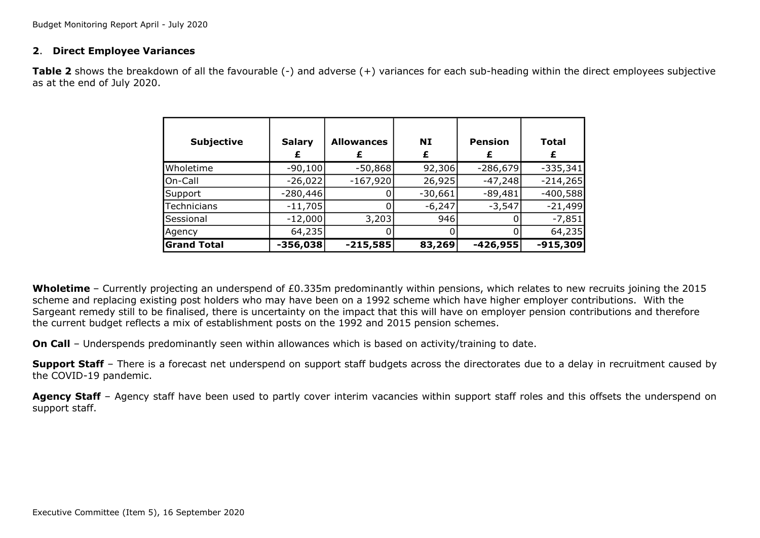#### **2**. **Direct Employee Variances**

**Table 2** shows the breakdown of all the favourable (-) and adverse (+) variances for each sub-heading within the direct employees subjective as at the end of July 2020.

| <b>Subjective</b>  | <b>Salary</b> | <b>Allowances</b> | NI<br>£   | <b>Pension</b> | <b>Total</b> |
|--------------------|---------------|-------------------|-----------|----------------|--------------|
| Wholetime          | $-90,100$     | $-50,868$         | 92,306    | $-286,679$     | $-335,341$   |
| On-Call            | $-26,022$     | $-167,920$        | 26,925    | $-47,248$      | $-214,265$   |
| Support            | $-280,446$    |                   | $-30,661$ | $-89,481$      | $-400,588$   |
| Technicians        | $-11,705$     |                   | $-6,247$  | $-3,547$       | $-21,499$    |
| Sessional          | $-12,000$     | 3,203             | 946       |                | $-7,851$     |
| Agency             | 64,235        |                   |           |                | 64,235       |
| <b>Grand Total</b> | $-356,038$    | $-215,585$        | 83,269    | $-426,955$     | $-915,309$   |

**Wholetime** – Currently projecting an underspend of £0.335m predominantly within pensions, which relates to new recruits joining the 2015 scheme and replacing existing post holders who may have been on a 1992 scheme which have higher employer contributions. With the Sargeant remedy still to be finalised, there is uncertainty on the impact that this will have on employer pension contributions and therefore the current budget reflects a mix of establishment posts on the 1992 and 2015 pension schemes.

**On Call** – Underspends predominantly seen within allowances which is based on activity/training to date.

**Support Staff** – There is a forecast net underspend on support staff budgets across the directorates due to a delay in recruitment caused by the COVID-19 pandemic.

Agency Staff – Agency staff have been used to partly cover interim vacancies within support staff roles and this offsets the underspend on support staff.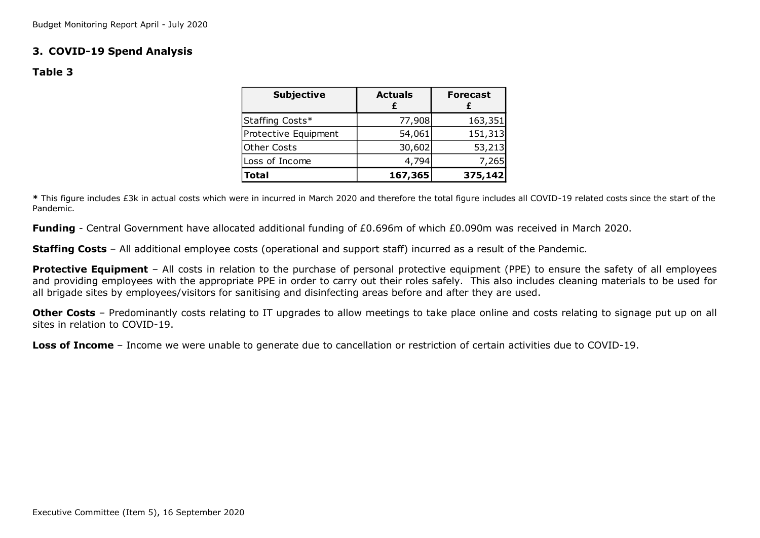# **3. COVID-19 Spend Analysis**

### **Table 3**

| <b>Subjective</b>    | <b>Actuals</b> | <b>Forecast</b> |
|----------------------|----------------|-----------------|
| Staffing Costs*      | 77,908         | 163,351         |
| Protective Equipment | 54,061         | 151,313         |
| <b>Other Costs</b>   | 30,602         | 53,213          |
| Loss of Income       | 4,794          | 7,265           |
| <b>Total</b>         | 167,365        | 375,142         |
|                      |                |                 |

**\*** This figure includes £3k in actual costs which were in incurred in March 2020 and therefore the total figure includes all COVID-19 related costs since the start of the Pandemic.

**Funding** - Central Government have allocated additional funding of £0.696m of which £0.090m was received in March 2020.

**Staffing Costs** – All additional employee costs (operational and support staff) incurred as a result of the Pandemic.

**Protective Equipment** – All costs in relation to the purchase of personal protective equipment (PPE) to ensure the safety of all employees and providing employees with the appropriate PPE in order to carry out their roles safely. This also includes cleaning materials to be used for all brigade sites by employees/visitors for sanitising and disinfecting areas before and after they are used.

**Other Costs** – Predominantly costs relating to IT upgrades to allow meetings to take place online and costs relating to signage put up on all sites in relation to COVID-19

**Loss of Income** – Income we were unable to generate due to cancellation or restriction of certain activities due to COVID-19.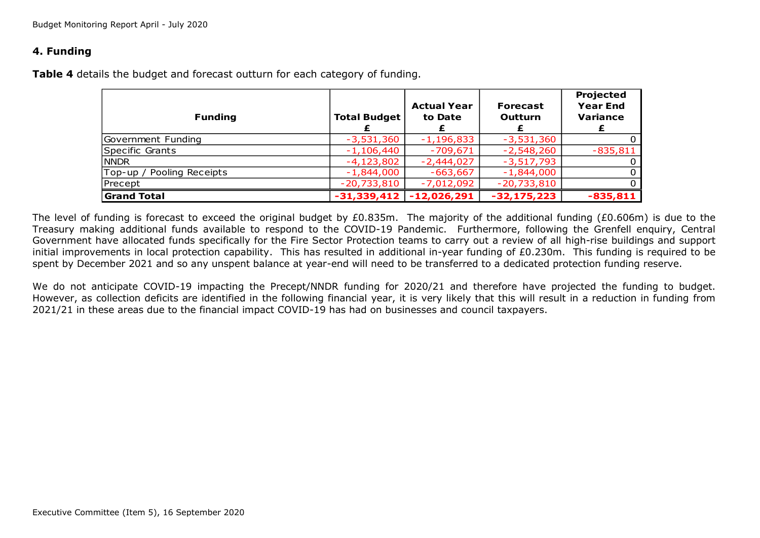# **4. Funding**

**Table 4** details the budget and forecast outturn for each category of funding.

| <b>Funding</b>                          | <b>Total Budget</b> | <b>Actual Year</b><br>to Date | <b>Forecast</b><br><b>Outturn</b> | Projected<br><b>Year End</b><br><b>Variance</b> |
|-----------------------------------------|---------------------|-------------------------------|-----------------------------------|-------------------------------------------------|
| Government Funding                      | $-3,531,360$        | $-1,196,833$                  | $-3,531,360$                      | 0                                               |
| Specific Grants                         | $-1,106,440$        | $-709,671$                    | $-2,548,260$                      | $-835,811$                                      |
| <b>NNDR</b>                             | $-4,123,802$        | $-2,444,027$                  | $-3,517,793$                      | 0                                               |
| $\mathsf{Top-up}$ /<br>Pooling Receipts | $-1,844,000$        | $-663,667$                    | $-1,844,000$                      | $\Omega$                                        |
| Precept                                 | $-20,733,810$       | $-7,012,092$                  | $-20,733,810$                     | O                                               |
| <b>Grand Total</b>                      | $-31,339,412$       | $-12,026,291$                 | $-32, 175, 223$                   | $-835,811$                                      |

The level of funding is forecast to exceed the original budget by £0.835m. The majority of the additional funding (£0.606m) is due to the Treasury making additional funds available to respond to the COVID-19 Pandemic. Furthermore, following the Grenfell enquiry, Central Government have allocated funds specifically for the Fire Sector Protection teams to carry out a review of all high-rise buildings and support initial improvements in local protection capability. This has resulted in additional in-year funding of £0.230m. This funding is required to be spent by December 2021 and so any unspent balance at year-end will need to be transferred to a dedicated protection funding reserve.

We do not anticipate COVID-19 impacting the Precept/NNDR funding for 2020/21 and therefore have projected the funding to budget. However, as collection deficits are identified in the following financial year, it is very likely that this will result in a reduction in funding from 2021/21 in these areas due to the financial impact COVID-19 has had on businesses and council taxpayers.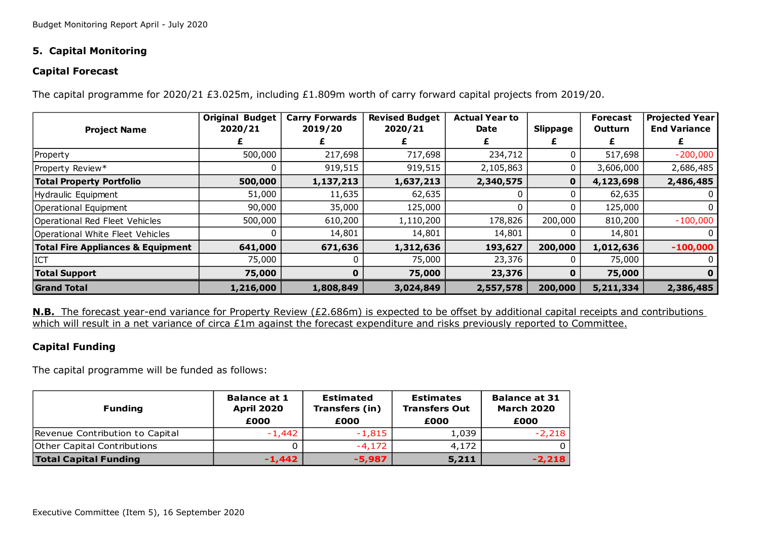# **5. Capital Monitoring**

# **Capital Forecast**

The capital programme for 2020/21 £3.025m, including £1.809m worth of carry forward capital projects from 2019/20.

|                                              | <b>Original Budget</b> | <b>Carry Forwards</b> | <b>Revised Budget</b> | <b>Actual Year to</b> |                 | <b>Forecast</b> | <b>Projected Year</b> |
|----------------------------------------------|------------------------|-----------------------|-----------------------|-----------------------|-----------------|-----------------|-----------------------|
| <b>Project Name</b>                          | 2020/21                | 2019/20               | 2020/21               | Date                  | <b>Slippage</b> | <b>Outturn</b>  | <b>End Variance</b>   |
|                                              |                        |                       |                       |                       |                 |                 |                       |
| Property                                     | 500,000                | 217,698               | 717,698               | 234,712               |                 | 517,698         | $-200,000$            |
| Property Review*                             |                        | 919,515               | 919,515               | 2,105,863             |                 | 3,606,000       | 2,686,485             |
| <b>Total Property Portfolio</b>              | 500,000                | 1,137,213             | 1,637,213             | 2,340,575             | 0               | 4,123,698       | 2,486,485             |
| Hydraulic Equipment                          | 51,000                 | 11,635                | 62,635                |                       |                 | 62,635          |                       |
| Operational Equipment                        | 90,000                 | 35,000                | 125,000               |                       |                 | 125,000         |                       |
| Operational Red Fleet Vehicles               | 500,000                | 610,200               | 1,110,200             | 178,826               | 200,000         | 810,200         | $-100,000$            |
| Operational White Fleet Vehicles             |                        | 14,801                | 14,801                | 14,801                |                 | 14,801          |                       |
| <b>Total Fire Appliances &amp; Equipment</b> | 641,000                | 671,636               | 1,312,636             | 193,627               | 200,000         | 1,012,636       | $-100,000$            |
| <b>ICT</b>                                   | 75,000                 |                       | 75,000                | 23,376                |                 | 75,000          |                       |
| <b>Total Support</b>                         | 75,000                 | 0                     | 75,000                | 23,376                | $\bf{0}$        | 75,000          |                       |
| <b>Grand Total</b>                           | 1,216,000              | 1,808,849             | 3,024,849             | 2,557,578             | 200,000         | 5,211,334       | 2,386,485             |

**N.B.** The forecast year-end variance for Property Review (£2.686m) is expected to be offset by additional capital receipts and contributions which will result in a net variance of circa £1m against the forecast expenditure and risks previously reported to Committee.

# **Capital Funding**

The capital programme will be funded as follows:

| <b>Funding</b>                  | <b>Balance at 1</b><br><b>April 2020</b><br>£000 | Estimated<br>Transfers (in)<br>£000 | <b>Estimates</b><br><b>Transfers Out</b><br>£000 | <b>Balance at 31</b><br><b>March 2020</b><br>£000 |
|---------------------------------|--------------------------------------------------|-------------------------------------|--------------------------------------------------|---------------------------------------------------|
| Revenue Contribution to Capital | $-1.442$                                         | $-1,815$                            | 1,039                                            | $-2,218$                                          |
| Other Capital Contributions     |                                                  | $-4,172$                            | 4,172                                            |                                                   |
| <b>Total Capital Funding</b>    | $-1.442$                                         | $-5,987$                            | 5,211                                            | $-2,218$                                          |